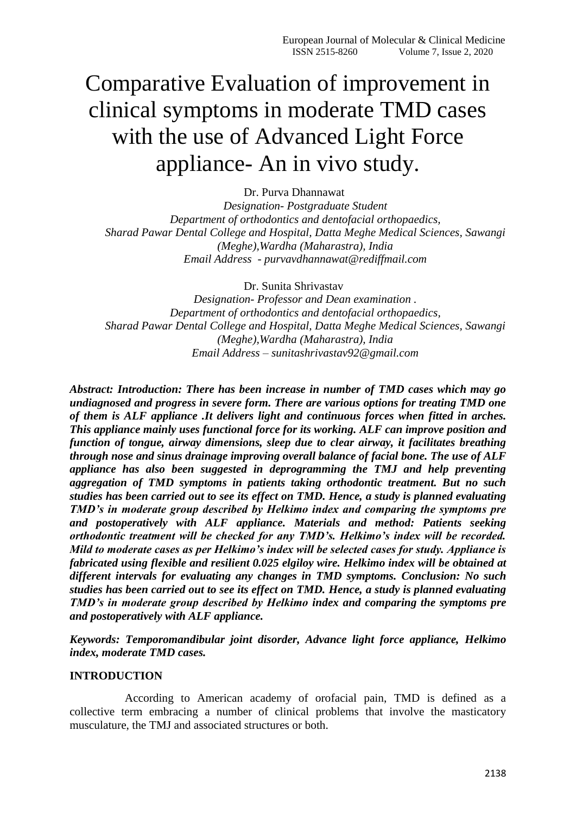# Comparative Evaluation of improvement in clinical symptoms in moderate TMD cases with the use of Advanced Light Force appliance- An in vivo study.

Dr. Purva Dhannawat *Designation- Postgraduate Student Department of orthodontics and dentofacial orthopaedics, Sharad Pawar Dental College and Hospital, Datta Meghe Medical Sciences, Sawangi (Meghe),Wardha (Maharastra), India Email Address - purvavdhannawat@rediffmail.com*

Dr. Sunita Shrivastav

*Designation- Professor and Dean examination . Department of orthodontics and dentofacial orthopaedics, Sharad Pawar Dental College and Hospital, Datta Meghe Medical Sciences, Sawangi (Meghe),Wardha (Maharastra), India Email Address – sunitashrivastav92@gmail.com*

*Abstract: Introduction: There has been increase in number of TMD cases which may go undiagnosed and progress in severe form. There are various options for treating TMD one of them is ALF appliance .It delivers light and continuous forces when fitted in arches. This appliance mainly uses functional force for its working. ALF can improve position and function of tongue, airway dimensions, sleep due to clear airway, it facilitates breathing through nose and sinus drainage improving overall balance of facial bone. The use of ALF appliance has also been suggested in deprogramming the TMJ and help preventing aggregation of TMD symptoms in patients taking orthodontic treatment. But no such studies has been carried out to see its effect on TMD. Hence, a study is planned evaluating TMD's in moderate group described by Helkimo index and comparing the symptoms pre and postoperatively with ALF appliance. Materials and method: Patients seeking orthodontic treatment will be checked for any TMD's. Helkimo's index will be recorded. Mild to moderate cases as per Helkimo's index will be selected cases for study. Appliance is fabricated using flexible and resilient 0.025 elgiloy wire. Helkimo index will be obtained at different intervals for evaluating any changes in TMD symptoms. Conclusion: No such studies has been carried out to see its effect on TMD. Hence, a study is planned evaluating TMD's in moderate group described by Helkimo index and comparing the symptoms pre and postoperatively with ALF appliance.*

*Keywords: Temporomandibular joint disorder, Advance light force appliance, Helkimo index, moderate TMD cases.*

#### **INTRODUCTION**

 According to American academy of orofacial pain, TMD is defined as a collective term embracing a number of clinical problems that involve the masticatory musculature, the TMJ and associated structures or both.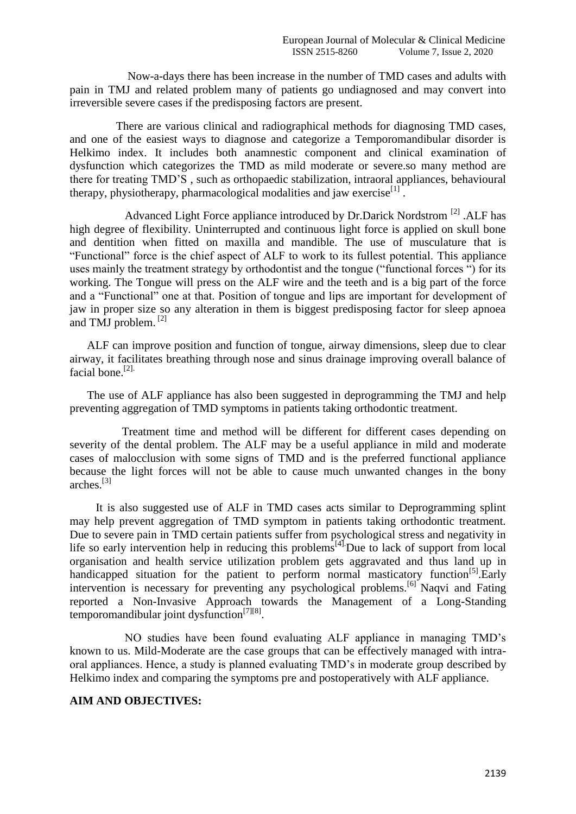Now-a-days there has been increase in the number of TMD cases and adults with pain in TMJ and related problem many of patients go undiagnosed and may convert into irreversible severe cases if the predisposing factors are present.

 There are various clinical and radiographical methods for diagnosing TMD cases, and one of the easiest ways to diagnose and categorize a Temporomandibular disorder is Helkimo index. It includes both anamnestic component and clinical examination of dysfunction which categorizes the TMD as mild moderate or severe.so many method are there for treating TMD'S , such as orthopaedic stabilization, intraoral appliances, behavioural therapy, physiotherapy, pharmacological modalities and jaw exercise<sup>[1]</sup>.

Advanced Light Force appliance introduced by Dr.Darick Nordstrom <sup>[2]</sup> .ALF has high degree of flexibility. Uninterrupted and continuous light force is applied on skull bone and dentition when fitted on maxilla and mandible. The use of musculature that is "Functional" force is the chief aspect of ALF to work to its fullest potential. This appliance uses mainly the treatment strategy by orthodontist and the tongue ("functional forces ") for its working. The Tongue will press on the ALF wire and the teeth and is a big part of the force and a "Functional" one at that. Position of tongue and lips are important for development of jaw in proper size so any alteration in them is biggest predisposing factor for sleep apnoea and TMJ problem. [2]

 ALF can improve position and function of tongue, airway dimensions, sleep due to clear airway, it facilitates breathing through nose and sinus drainage improving overall balance of facial bone.[2].

 The use of ALF appliance has also been suggested in deprogramming the TMJ and help preventing aggregation of TMD symptoms in patients taking orthodontic treatment.

 Treatment time and method will be different for different cases depending on severity of the dental problem. The ALF may be a useful appliance in mild and moderate cases of malocclusion with some signs of TMD and is the preferred functional appliance because the light forces will not be able to cause much unwanted changes in the bony arches $^{[3]}$ 

 It is also suggested use of ALF in TMD cases acts similar to Deprogramming splint may help prevent aggregation of TMD symptom in patients taking orthodontic treatment. Due to severe pain in TMD certain patients suffer from psychological stress and negativity in life so early intervention help in reducing this problems<sup>[4]</sup>. Due to lack of support from local organisation and health service utilization problem gets aggravated and thus land up in handicapped situation for the patient to perform normal masticatory function<sup>[5]</sup>.Early intervention is necessary for preventing any psychological problems.<sup>[6]</sup> Naqvi and Fating reported a Non-Invasive Approach towards the Management of a Long-Standing temporomandibular joint dysfunction<sup>[7][8]</sup>.

 NO studies have been found evaluating ALF appliance in managing TMD's known to us. Mild-Moderate are the case groups that can be effectively managed with intraoral appliances. Hence, a study is planned evaluating TMD's in moderate group described by Helkimo index and comparing the symptoms pre and postoperatively with ALF appliance.

#### **AIM AND OBJECTIVES:**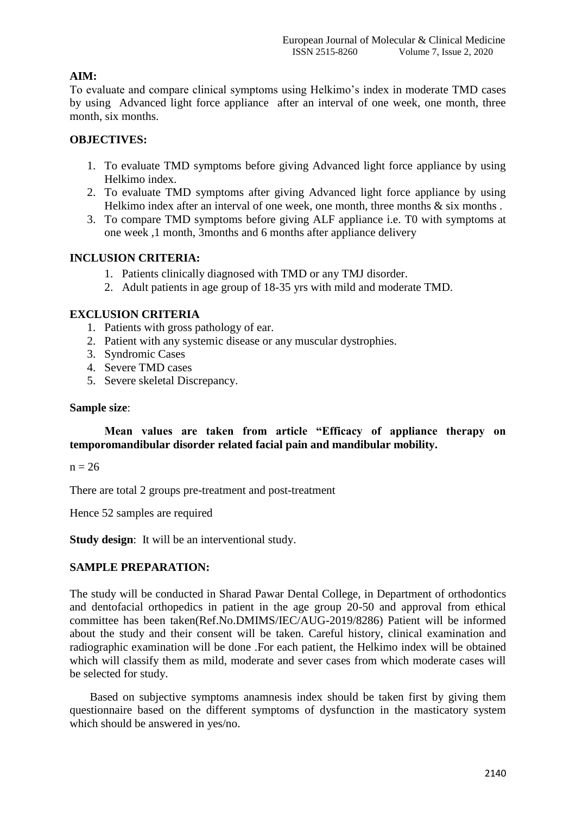# **AIM:**

To evaluate and compare clinical symptoms using Helkimo's index in moderate TMD cases by using Advanced light force appliance after an interval of one week, one month, three month, six months.

# **OBJECTIVES:**

- 1. To evaluate TMD symptoms before giving Advanced light force appliance by using Helkimo index.
- 2. To evaluate TMD symptoms after giving Advanced light force appliance by using Helkimo index after an interval of one week, one month, three months  $\&$  six months.
- 3. To compare TMD symptoms before giving ALF appliance i.e. T0 with symptoms at one week ,1 month, 3months and 6 months after appliance delivery

## **INCLUSION CRITERIA:**

- 1. Patients clinically diagnosed with TMD or any TMJ disorder.
- 2. Adult patients in age group of 18-35 yrs with mild and moderate TMD.

# **EXCLUSION CRITERIA**

- 1. Patients with gross pathology of ear.
- 2. Patient with any systemic disease or any muscular dystrophies.
- 3. Syndromic Cases
- 4. Severe TMD cases
- 5. Severe skeletal Discrepancy.

#### **Sample size**:

## **Mean values are taken from article "Efficacy of appliance therapy on temporomandibular disorder related facial pain and mandibular mobility.**

 $n = 26$ 

There are total 2 groups pre-treatment and post-treatment

Hence 52 samples are required

**Study design**: It will be an interventional study.

#### **SAMPLE PREPARATION:**

The study will be conducted in Sharad Pawar Dental College, in Department of orthodontics and dentofacial orthopedics in patient in the age group 20-50 and approval from ethical committee has been taken(Ref.No.DMIMS/IEC/AUG-2019/8286) Patient will be informed about the study and their consent will be taken. Careful history, clinical examination and radiographic examination will be done .For each patient, the Helkimo index will be obtained which will classify them as mild, moderate and sever cases from which moderate cases will be selected for study.

 Based on subjective symptoms anamnesis index should be taken first by giving them questionnaire based on the different symptoms of dysfunction in the masticatory system which should be answered in yes/no.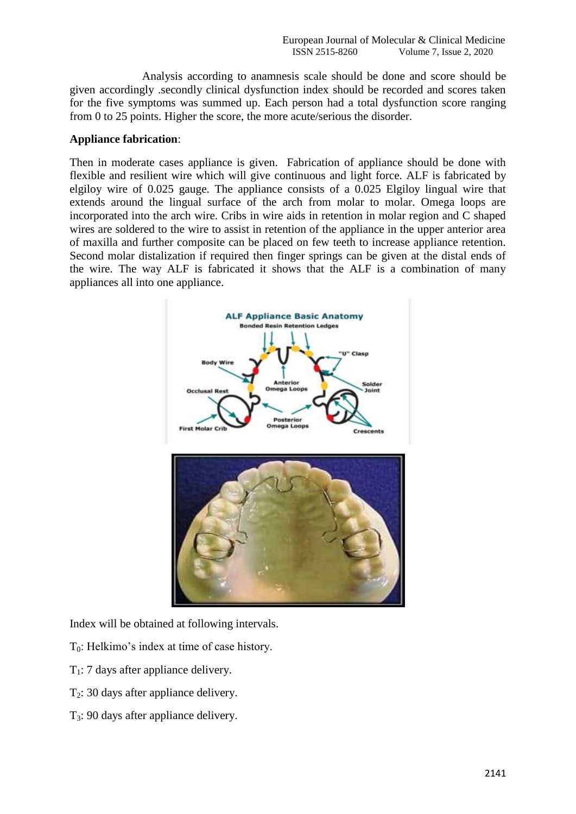Analysis according to anamnesis scale should be done and score should be given accordingly .secondly clinical dysfunction index should be recorded and scores taken for the five symptoms was summed up. Each person had a total dysfunction score ranging from 0 to 25 points. Higher the score, the more acute/serious the disorder.

#### **Appliance fabrication**:

Then in moderate cases appliance is given. Fabrication of appliance should be done with flexible and resilient wire which will give continuous and light force. ALF is fabricated by elgiloy wire of 0.025 gauge. The appliance consists of a 0.025 Elgiloy lingual wire that extends around the lingual surface of the arch from molar to molar. Omega loops are incorporated into the arch wire. Cribs in wire aids in retention in molar region and C shaped wires are soldered to the wire to assist in retention of the appliance in the upper anterior area of maxilla and further composite can be placed on few teeth to increase appliance retention. Second molar distalization if required then finger springs can be given at the distal ends of the wire. The way ALF is fabricated it shows that the ALF is a combination of many appliances all into one appliance.



Index will be obtained at following intervals.

- T0: Helkimo's index at time of case history.
- $T_1$ : 7 days after appliance delivery.
- $T<sub>2</sub>$ : 30 days after appliance delivery.
- T3: 90 days after appliance delivery.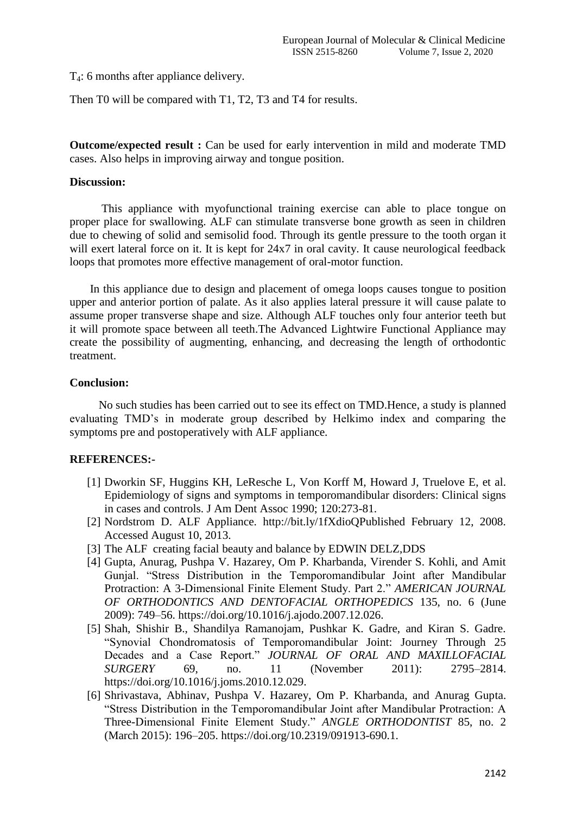T4: 6 months after appliance delivery.

Then T0 will be compared with T1, T2, T3 and T4 for results.

**Outcome/expected result :** Can be used for early intervention in mild and moderate TMD cases. Also helps in improving airway and tongue position.

#### **Discussion:**

 This appliance with myofunctional training exercise can able to place tongue on proper place for swallowing. ALF can stimulate transverse bone growth as seen in children due to chewing of solid and semisolid food. Through its gentle pressure to the tooth organ it will exert lateral force on it. It is kept for  $24x7$  in oral cavity. It cause neurological feedback loops that promotes more effective management of oral-motor function.

 In this appliance due to design and placement of omega loops causes tongue to position upper and anterior portion of palate. As it also applies lateral pressure it will cause palate to assume proper transverse shape and size. Although ALF touches only four anterior teeth but it will promote space between all teeth.The Advanced Lightwire Functional Appliance may create the possibility of augmenting, enhancing, and decreasing the length of orthodontic treatment.

#### **Conclusion:**

No such studies has been carried out to see its effect on TMD.Hence, a study is planned evaluating TMD's in moderate group described by Helkimo index and comparing the symptoms pre and postoperatively with ALF appliance.

#### **REFERENCES:-**

- [1] Dworkin SF, Huggins KH, LeResche L, Von Korff M, Howard J, Truelove E, et al. Epidemiology of signs and symptoms in temporomandibular disorders: Clinical signs in cases and controls. J Am Dent Assoc 1990; 120:273-81.
- [2] Nordstrom D. ALF Appliance. http://bit.ly/1fXdioQPublished February 12, 2008. Accessed August 10, 2013.
- [3] The ALF creating facial beauty and balance by EDWIN DELZ,DDS
- [4] Gupta, Anurag, Pushpa V. Hazarey, Om P. Kharbanda, Virender S. Kohli, and Amit Gunjal. "Stress Distribution in the Temporomandibular Joint after Mandibular Protraction: A 3-Dimensional Finite Element Study. Part 2." *AMERICAN JOURNAL OF ORTHODONTICS AND DENTOFACIAL ORTHOPEDICS* 135, no. 6 (June 2009): 749–56. https://doi.org/10.1016/j.ajodo.2007.12.026.
- [5] Shah, Shishir B., Shandilya Ramanojam, Pushkar K. Gadre, and Kiran S. Gadre. "Synovial Chondromatosis of Temporomandibular Joint: Journey Through 25 Decades and a Case Report." *JOURNAL OF ORAL AND MAXILLOFACIAL SURGERY* 69, no. 11 (November 2011): 2795–2814. https://doi.org/10.1016/j.joms.2010.12.029.
- [6] Shrivastava, Abhinav, Pushpa V. Hazarey, Om P. Kharbanda, and Anurag Gupta. "Stress Distribution in the Temporomandibular Joint after Mandibular Protraction: A Three-Dimensional Finite Element Study." *ANGLE ORTHODONTIST* 85, no. 2 (March 2015): 196–205. https://doi.org/10.2319/091913-690.1.